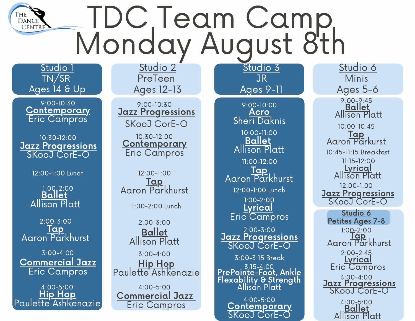## TDC Team Camp Monday August 8th

Studio 1 TN/SR Ages 14 & Up

**DANCE CENTRE** 

> **Contemporary** Eric Campros 9:00-10:30

Jazz Progressions SKooJ CorE-O 10:30-12:00

12:00-1:00 Lunch

**Ballet** Allison Platt 1:00-2:00

⊤apٰ Aaron Parkhurst 2:00-3:00

Commercial Jazz Eric Campros 3:00-4:00

Hip Hop Paulette Ashkenazie 4:00-5:00

Studio 2 PreTeen Ages 12-13

**Jazz Progressions** SKooJ CorE-O 9:00-10:30

**Contemporary** Eric Campros 10:30-12:00

1:00-2:00 Lunch Tap Aaron Parkhurst 12:00-1:00

Ballet Allison Platt Hip Hop Paulette Ashkenazie 2:00-3:00 3:00-4:00

Commercial Jazz Eric Campros 4:00-5:00

Ages 9-11 Acro Sheri Daknis Ballet Allison Platt 10:00-11:00 12:00-1:00 Lunch Tap Aaron Parkhurst Lyrical Eric Campros 9:00-10:00 11:00-12:00 1:00-2:00

Studio 3 JR

Jazz Progressions SKooJ CorE-O 2:00-3:00

PrePointe-Foot, Ankle Flexability & Strength Allison Platt 3:15-4:00 3:00-3:15 Break

4:00-5:00 Contemporary SKooJ CorE-O

Studio 6 Minis Ages 5-6 9:00-9:45

Ballet Allison Platt

Tap Aaron Parkurst 10:00-10:45 10:45-11:15 Breakfast **Lyrical** Allison Platt Jazz Progressions SKooJ CorE-O 11:15-12:00 12:00-1:00

y-∠.∪<br>Tap Aaron Parkhurst 1:00-2:00 Lyrical Eric<sup>C</sup>ampros Studio 6 Petites Ages 7-8 2:00-2:45 Jazz Progressions SKooJ CorE-O 3:00-4:00 4:00-5:00 **Ballet** 

Allison Platt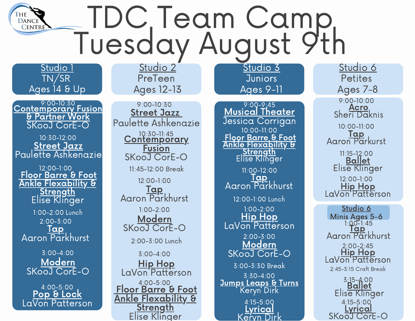## TDC Team Camp Tuesday August 9th

Studio 1 TN/SR Ages 14 & Up

**DANCE CENTRE** 

Contemporary Fusion & Partner Work SKooJ CorE-O 9:00-10:30

Street Jazz Paulette Ashkenazie 10:30-12:00

1:00-2:00 Lunch Floor Barre & Foot Ankle Flexability & **Strength** Elise Klinger <u>Tap</u> Aaron Parkhurst 12:00-1:00 2:00-3:00

**Modern** SKooJ CorE-O 3:00-4:00

Pop & Lock LaVon Patterson 4:00-5:00

Studio 2 PreTeen Ages 12-13

Street Jazz Paulette Ashkenazie 10:30-11:45<br>**Contemporary Fusion** SKooJ CorE-O 2:00-3:00 Lunch Tap Aaron Parkhurst Modern SKooJ CorE-O Hip Hop LaVon Patterson 9:00-10:30 12:00-1:00 1:00-2:00 3:00-4:00 Floor Barre & Foot Ankle Flexability & **Strength** Elise Klinger 4:00-5:00 11:45-12:00 Break

Studio 3 **Juniors** Ages 9-11

Musical Theater Jessica Corrigan Floor Barre & Foot Ankle Flexability & **Strength** Elise Klinger 10:00-11:00 12:00-1:00 Lunch Tap<sup>"</sup> Aaron Parkhurst Hip Hop LaVon Patterson Modern SKooJ CorE-O  $9:00 - 2:45$ 11:00-12:00 1:00-2:00 2:00-3:00 Jumps Leaps & Turns Keryn Dirk 3:30-4:00 3:00-3:30 Break 4:15-5:00 **Lyrical** Keryn Dirk

Studio 6 **Petites** Ages 7-8

**Acro** Sheri Daknis 9:00-10:00

Tap Aaron Parkurst 10:00-11:00

Ballet Elise Klinger 11:15-12:00 12:00-1:00

Hip Hop LaVon Patterson

yu-1.4<br>Tap Aaron Parkhurst  $1:00 - 1:45$ Hip Hop LaVon Patterson Studio 6 Minis Ages 5-6 2:00-2:45 2:45-3:15 Craft Break

Ballet Elise Klinger 3:15-4:00 4:15-5:00 Lyrical SKooJ CorE-O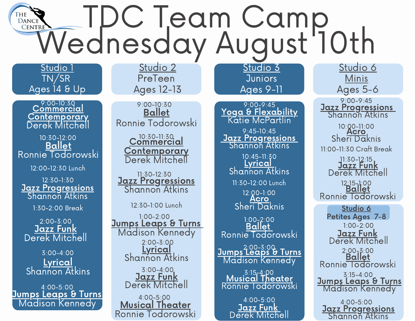## **THE TRANGE TO COMP COMP Wednesday August 10th**

Studio 1 TN/SR Ages 14 & Up

Commercial 9:00-10:30 <u>Contemporary</u> Derek Mitchell

Ballet Ronnie Todorowski 10:30-12:00

12:00-12:30 Lunch

Jazz Progressions Shannon Atkins 12:30-1:30

1:30-2:00 Break

Jazz Funk Derek Mitchell 2:00-3:00

Lyrical Shannon Atkins 3:00-4:00

Jumps Leaps & Turns Madison Kennedy 4:00-5:00

Studio 2 PreTeen Ages 12-13

Ballet Ronnie Todorowski 9:00-10:30

> Commercial 10:30-11:30 Contemporary Derek Mitchell

Jazz Progressions Shannon Atkins 11:30-12:30

12:30-1:00 Lunch

Jumps Leaps & Turns Madison Kennedy Lyrical Shannon Atkins 1:00-2:00 2:00-3:00

> 3:00-4:00 Jazz Funk Derek Mitchell

Musical Theater Ronnie Todorowski 4:00-5:00

Studio 3 **Juniors** Ages 9-11

Yoga & Flexability Katie McPartlin Jazz Progressions Shannon Atkins 9:45-10:45 9:00-9:45

> 11:30-12:00 Lunch Lyrical Shannon Atkins .x∪−ı.∪<br>**Acro** Sheri Daknis 10:45-11:30 12:00-1:00

**Ballet** Ronnie Todorowski 1:00-2:00

Jumps Leaps & Turns Madison Kennedy 2:00-3:00

3:15-4:00 Musical Theater Ronnie Todorowski

4:00-5:00 Jazz Funk Derek Mitchell

Studio 6 **Minis** Ages 5-6

Jazz Progressions Shannon Atkins 9:00-9:45

Acro Sheri Daknis 10:00-11:00 11:00-11:30 Craft Break

Jazz Funk Derek Mitchell 11:30-1<mark>2</mark>:15

12:15-1:00<br>**Ballet** Ronnie Todorowski

<u>Jazz Funk</u> Derek Mitchell 1:00-2:00 Ballet Ronnie Todorowski Studio 6 Petites Ages 7-8 2:00-3:00 **Jumps Leaps & Turns** Madison Kennedy 3:15-4:00

4:00-5:00 Jazz Progressions Shannon Atkins